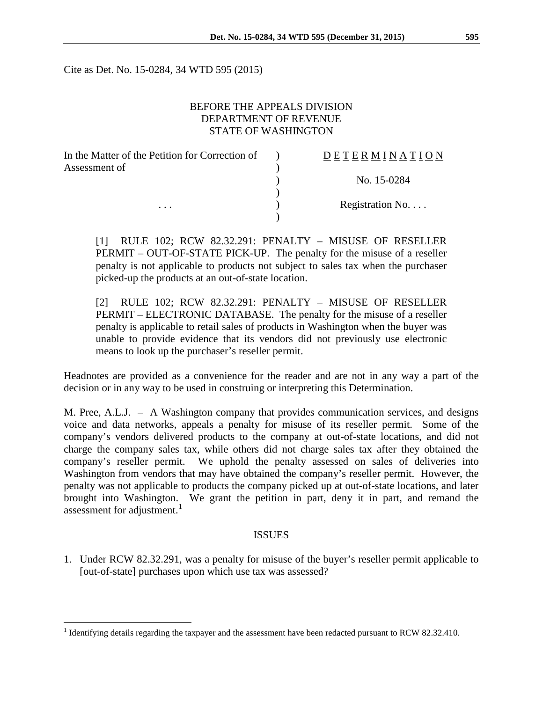Cite as Det. No. 15-0284, 34 WTD 595 (2015)

### BEFORE THE APPEALS DIVISION DEPARTMENT OF REVENUE STATE OF WASHINGTON

| In the Matter of the Petition for Correction of | <b>DETERMINATION</b> |
|-------------------------------------------------|----------------------|
| Assessment of                                   |                      |
|                                                 | No. 15-0284          |
|                                                 |                      |
| $\cdots$                                        | Registration No.     |
|                                                 |                      |

[1] RULE 102; RCW 82.32.291: PENALTY – MISUSE OF RESELLER PERMIT – OUT-OF-STATE PICK-UP. The penalty for the misuse of a reseller penalty is not applicable to products not subject to sales tax when the purchaser picked-up the products at an out-of-state location.

[2] RULE 102; RCW 82.32.291: PENALTY – MISUSE OF RESELLER PERMIT – ELECTRONIC DATABASE. The penalty for the misuse of a reseller penalty is applicable to retail sales of products in Washington when the buyer was unable to provide evidence that its vendors did not previously use electronic means to look up the purchaser's reseller permit.

Headnotes are provided as a convenience for the reader and are not in any way a part of the decision or in any way to be used in construing or interpreting this Determination.

M. Pree, A.L.J. – A Washington company that provides communication services, and designs voice and data networks, appeals a penalty for misuse of its reseller permit. Some of the company's vendors delivered products to the company at out-of-state locations, and did not charge the company sales tax, while others did not charge sales tax after they obtained the company's reseller permit. We uphold the penalty assessed on sales of deliveries into Washington from vendors that may have obtained the company's reseller permit. However, the penalty was not applicable to products the company picked up at out-of-state locations, and later brought into Washington. We grant the petition in part, deny it in part, and remand the assessment for adjustment.<sup>[1](#page-0-0)</sup>

### ISSUES

1. Under RCW 82.32.291, was a penalty for misuse of the buyer's reseller permit applicable to [out-of-state] purchases upon which use tax was assessed?

<span id="page-0-0"></span><sup>&</sup>lt;sup>1</sup> Identifying details regarding the taxpayer and the assessment have been redacted pursuant to RCW 82.32.410.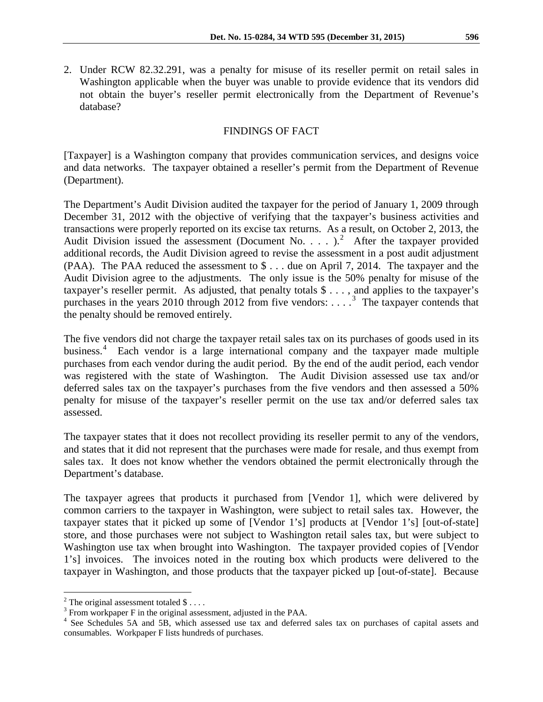2. Under RCW 82.32.291, was a penalty for misuse of its reseller permit on retail sales in Washington applicable when the buyer was unable to provide evidence that its vendors did not obtain the buyer's reseller permit electronically from the Department of Revenue's database?

### FINDINGS OF FACT

[Taxpayer] is a Washington company that provides communication services, and designs voice and data networks. The taxpayer obtained a reseller's permit from the Department of Revenue (Department).

The Department's Audit Division audited the taxpayer for the period of January 1, 2009 through December 31, 2012 with the objective of verifying that the taxpayer's business activities and transactions were properly reported on its excise tax returns. As a result, on October 2, 2013, the Audit Division issued the assessment (Document No.  $\ldots$ ).<sup>[2](#page-1-0)</sup> After the taxpayer provided additional records, the Audit Division agreed to revise the assessment in a post audit adjustment (PAA). The PAA reduced the assessment to \$ . . . due on April 7, 2014. The taxpayer and the Audit Division agree to the adjustments. The only issue is the 50% penalty for misuse of the taxpayer's reseller permit. As adjusted, that penalty totals \$ . . . , and applies to the taxpayer's purchases in the years 2010 through 2012 from five vendors: . . . .<sup>[3](#page-1-1)</sup> The taxpayer contends that the penalty should be removed entirely.

The five vendors did not charge the taxpayer retail sales tax on its purchases of goods used in its business.<sup>[4](#page-1-2)</sup> Each vendor is a large international company and the taxpayer made multiple purchases from each vendor during the audit period. By the end of the audit period, each vendor was registered with the state of Washington. The Audit Division assessed use tax and/or deferred sales tax on the taxpayer's purchases from the five vendors and then assessed a 50% penalty for misuse of the taxpayer's reseller permit on the use tax and/or deferred sales tax assessed.

The taxpayer states that it does not recollect providing its reseller permit to any of the vendors, and states that it did not represent that the purchases were made for resale, and thus exempt from sales tax. It does not know whether the vendors obtained the permit electronically through the Department's database.

The taxpayer agrees that products it purchased from [Vendor 1], which were delivered by common carriers to the taxpayer in Washington, were subject to retail sales tax. However, the taxpayer states that it picked up some of [Vendor 1's] products at [Vendor 1's] [out-of-state] store, and those purchases were not subject to Washington retail sales tax, but were subject to Washington use tax when brought into Washington. The taxpayer provided copies of [Vendor 1's] invoices. The invoices noted in the routing box which products were delivered to the taxpayer in Washington, and those products that the taxpayer picked up [out-of-state]. Because

<span id="page-1-0"></span><sup>&</sup>lt;sup>2</sup> The original assessment totaled \$ . . . .  $\frac{3}{3}$  From workpaper F in the original assessment, adjusted in the PAA.

<span id="page-1-2"></span><span id="page-1-1"></span><sup>&</sup>lt;sup>4</sup> See Schedules 5A and 5B, which assessed use tax and deferred sales tax on purchases of capital assets and consumables. Workpaper F lists hundreds of purchases.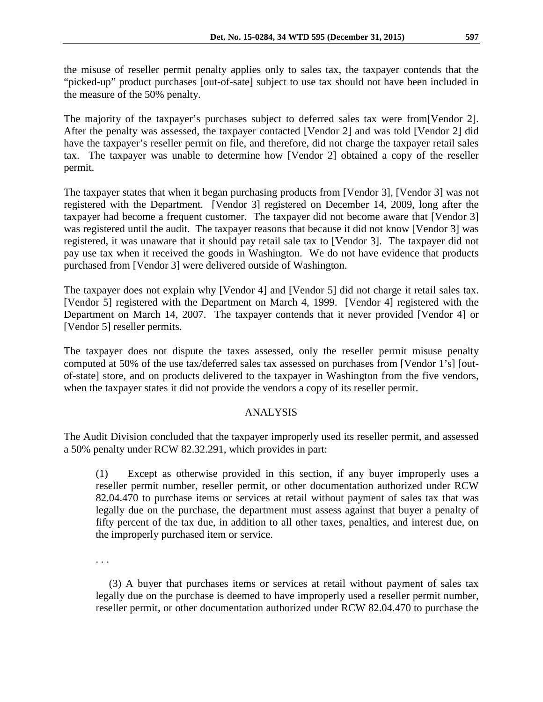the misuse of reseller permit penalty applies only to sales tax, the taxpayer contends that the "picked-up" product purchases [out-of-sate] subject to use tax should not have been included in the measure of the 50% penalty.

The majority of the taxpayer's purchases subject to deferred sales tax were from[Vendor 2]. After the penalty was assessed, the taxpayer contacted [Vendor 2] and was told [Vendor 2] did have the taxpayer's reseller permit on file, and therefore, did not charge the taxpayer retail sales tax. The taxpayer was unable to determine how [Vendor 2] obtained a copy of the reseller permit.

The taxpayer states that when it began purchasing products from [Vendor 3], [Vendor 3] was not registered with the Department. [Vendor 3] registered on December 14, 2009, long after the taxpayer had become a frequent customer. The taxpayer did not become aware that [Vendor 3] was registered until the audit. The taxpayer reasons that because it did not know [Vendor 3] was registered, it was unaware that it should pay retail sale tax to [Vendor 3]. The taxpayer did not pay use tax when it received the goods in Washington. We do not have evidence that products purchased from [Vendor 3] were delivered outside of Washington.

The taxpayer does not explain why [Vendor 4] and [Vendor 5] did not charge it retail sales tax. [Vendor 5] registered with the Department on March 4, 1999. [Vendor 4] registered with the Department on March 14, 2007. The taxpayer contends that it never provided [Vendor 4] or [Vendor 5] reseller permits.

The taxpayer does not dispute the taxes assessed, only the reseller permit misuse penalty computed at 50% of the use tax/deferred sales tax assessed on purchases from [Vendor 1's] [outof-state] store, and on products delivered to the taxpayer in Washington from the five vendors, when the taxpayer states it did not provide the vendors a copy of its reseller permit.

## ANALYSIS

The Audit Division concluded that the taxpayer improperly used its reseller permit, and assessed a 50% penalty under RCW 82.32.291, which provides in part:

(1) Except as otherwise provided in this section, if any buyer improperly uses a reseller permit number, reseller permit, or other documentation authorized under RCW 82.04.470 to purchase items or services at retail without payment of sales tax that was legally due on the purchase, the department must assess against that buyer a penalty of fifty percent of the tax due, in addition to all other taxes, penalties, and interest due, on the improperly purchased item or service.

. . .

 (3) A buyer that purchases items or services at retail without payment of sales tax legally due on the purchase is deemed to have improperly used a reseller permit number, reseller permit, or other documentation authorized under RCW 82.04.470 to purchase the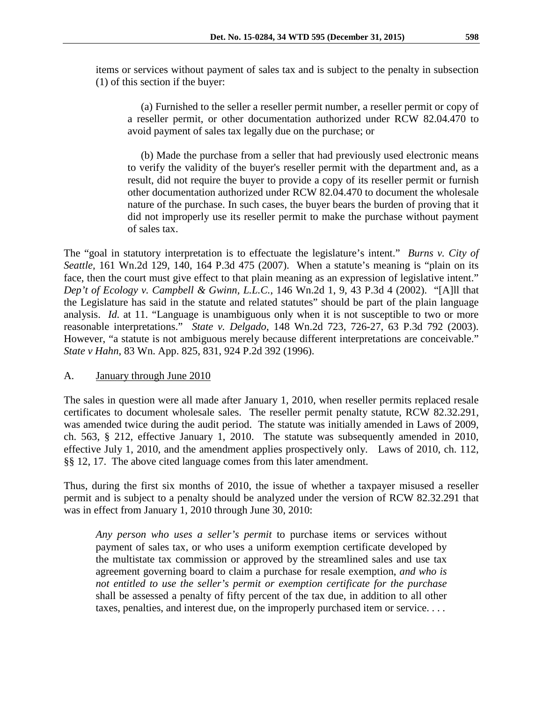items or services without payment of sales tax and is subject to the penalty in subsection (1) of this section if the buyer:

 (a) Furnished to the seller a reseller permit number, a reseller permit or copy of a reseller permit, or other documentation authorized under RCW 82.04.470 to avoid payment of sales tax legally due on the purchase; or

 (b) Made the purchase from a seller that had previously used electronic means to verify the validity of the buyer's reseller permit with the department and, as a result, did not require the buyer to provide a copy of its reseller permit or furnish other documentation authorized under RCW 82.04.470 to document the wholesale nature of the purchase. In such cases, the buyer bears the burden of proving that it did not improperly use its reseller permit to make the purchase without payment of sales tax.

The "goal in statutory interpretation is to effectuate the legislature's intent." *Burns v. City of Seattle,* 161 Wn.2d 129, 140, 164 P.3d 475 (2007). When a statute's meaning is "plain on its face, then the court must give effect to that plain meaning as an expression of legislative intent." *Dep't of Ecology v. Campbell & Gwinn, L.L.C.*, 146 Wn.2d 1, 9, 43 P.3d 4 (2002). "[A]ll that the Legislature has said in the statute and related statutes" should be part of the plain language analysis. *Id.* at 11. "Language is unambiguous only when it is not susceptible to two or more reasonable interpretations." *State v. Delgado*, 148 Wn.2d 723, 726-27, 63 P.3d 792 (2003). However, "a statute is not ambiguous merely because different interpretations are conceivable." *State v Hahn*, 83 Wn. App. 825, 831, 924 P.2d 392 (1996).

## A. January through June 2010

The sales in question were all made after January 1, 2010, when reseller permits replaced resale certificates to document wholesale sales. The reseller permit penalty statute, RCW 82.32.291, was amended twice during the audit period. The statute was initially amended in Laws of 2009, ch. 563, § 212, effective January 1, 2010. The statute was subsequently amended in 2010, effective July 1, 2010, and the amendment applies prospectively only. Laws of 2010, ch. 112, §§ 12, 17. The above cited language comes from this later amendment.

Thus, during the first six months of 2010, the issue of whether a taxpayer misused a reseller permit and is subject to a penalty should be analyzed under the version of RCW 82.32.291 that was in effect from January 1, 2010 through June 30, 2010:

*Any person who uses a seller's permit* to purchase items or services without payment of sales tax, or who uses a uniform exemption certificate developed by the multistate tax commission or approved by the streamlined sales and use tax agreement governing board to claim a purchase for resale exemption, *and who is not entitled to use the seller's permit or exemption certificate for the purchase* shall be assessed a penalty of fifty percent of the tax due, in addition to all other taxes, penalties, and interest due, on the improperly purchased item or service. . . .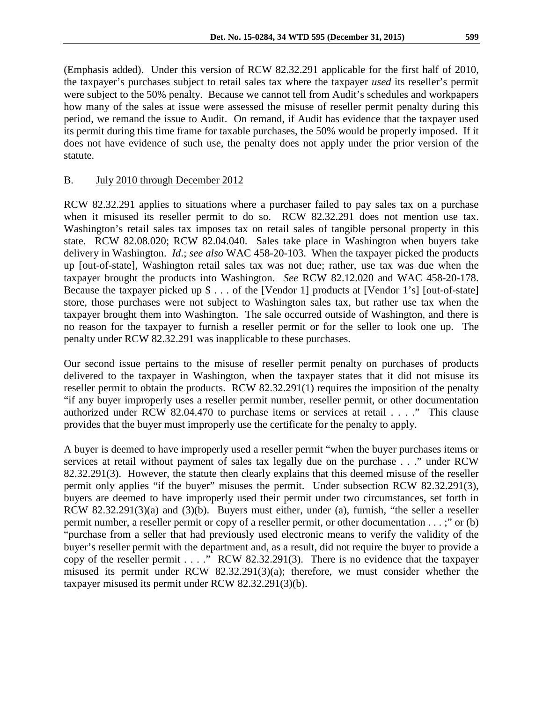(Emphasis added). Under this version of RCW 82.32.291 applicable for the first half of 2010, the taxpayer's purchases subject to retail sales tax where the taxpayer *used* its reseller's permit were subject to the 50% penalty. Because we cannot tell from Audit's schedules and workpapers how many of the sales at issue were assessed the misuse of reseller permit penalty during this period, we remand the issue to Audit. On remand, if Audit has evidence that the taxpayer used its permit during this time frame for taxable purchases, the 50% would be properly imposed. If it does not have evidence of such use, the penalty does not apply under the prior version of the statute.

### B. July 2010 through December 2012

RCW 82.32.291 applies to situations where a purchaser failed to pay sales tax on a purchase when it misused its reseller permit to do so. RCW 82.32.291 does not mention use tax. Washington's retail sales tax imposes tax on retail sales of tangible personal property in this state. RCW 82.08.020; RCW 82.04.040. Sales take place in Washington when buyers take delivery in Washington. *Id*.; *see also* WAC 458-20-103. When the taxpayer picked the products up [out-of-state], Washington retail sales tax was not due; rather, use tax was due when the taxpayer brought the products into Washington. *See* RCW 82.12.020 and WAC 458-20-178. Because the taxpayer picked up \$ . . . of the [Vendor 1] products at [Vendor 1's] [out-of-state] store, those purchases were not subject to Washington sales tax, but rather use tax when the taxpayer brought them into Washington. The sale occurred outside of Washington, and there is no reason for the taxpayer to furnish a reseller permit or for the seller to look one up. The penalty under RCW 82.32.291 was inapplicable to these purchases.

Our second issue pertains to the misuse of reseller permit penalty on purchases of products delivered to the taxpayer in Washington, when the taxpayer states that it did not misuse its reseller permit to obtain the products. RCW 82.32.291(1) requires the imposition of the penalty "if any buyer improperly uses a reseller permit number, reseller permit, or other documentation authorized under RCW 82.04.470 to purchase items or services at retail . . . ." This clause provides that the buyer must improperly use the certificate for the penalty to apply.

A buyer is deemed to have improperly used a reseller permit "when the buyer purchases items or services at retail without payment of sales tax legally due on the purchase . . ." under RCW 82.32.291(3). However, the statute then clearly explains that this deemed misuse of the reseller permit only applies "if the buyer" misuses the permit. Under subsection RCW 82.32.291(3), buyers are deemed to have improperly used their permit under two circumstances, set forth in RCW 82.32.291(3)(a) and (3)(b). Buyers must either, under (a), furnish, "the seller a reseller permit number, a reseller permit or copy of a reseller permit, or other documentation . . . ;" or (b) "purchase from a seller that had previously used electronic means to verify the validity of the buyer's reseller permit with the department and, as a result, did not require the buyer to provide a copy of the reseller permit . . . ." RCW 82.32.291(3). There is no evidence that the taxpayer misused its permit under RCW 82.32.291(3)(a); therefore, we must consider whether the taxpayer misused its permit under RCW 82.32.291(3)(b).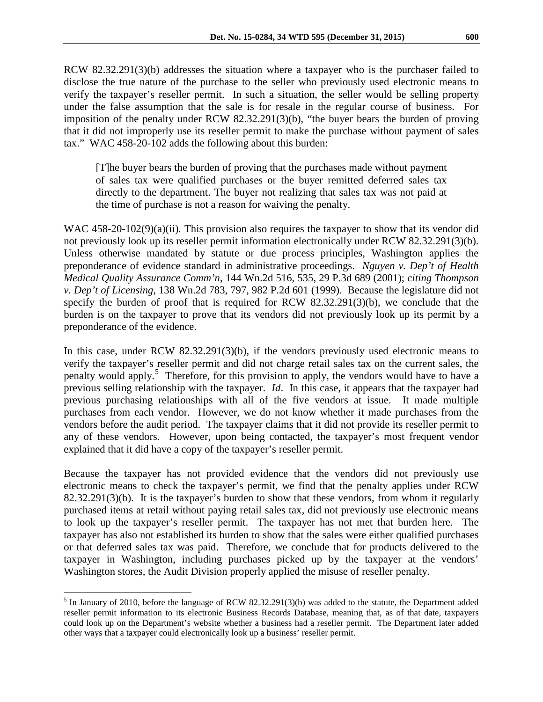RCW 82.32.291(3)(b) addresses the situation where a taxpayer who is the purchaser failed to disclose the true nature of the purchase to the seller who previously used electronic means to verify the taxpayer's reseller permit. In such a situation, the seller would be selling property under the false assumption that the sale is for resale in the regular course of business. For imposition of the penalty under RCW 82.32.291(3)(b), "the buyer bears the burden of proving that it did not improperly use its reseller permit to make the purchase without payment of sales tax." WAC 458-20-102 adds the following about this burden:

[T]he buyer bears the burden of proving that the purchases made without payment of sales tax were qualified purchases or the buyer remitted deferred sales tax directly to the department. The buyer not realizing that sales tax was not paid at the time of purchase is not a reason for waiving the penalty.

WAC 458-20-102(9)(a)(ii). This provision also requires the taxpayer to show that its vendor did not previously look up its reseller permit information electronically under RCW 82.32.291(3)(b). Unless otherwise mandated by statute or due process principles, Washington applies the preponderance of evidence standard in administrative proceedings. *Nguyen v. Dep't of Health Medical Quality Assurance Comm'n*, 144 Wn.2d 516, 535, 29 P.3d 689 (2001); *citing Thompson v. Dep't of Licensing*, 138 Wn.2d 783, 797, 982 P.2d 601 (1999). Because the legislature did not specify the burden of proof that is required for RCW 82.32.291(3)(b), we conclude that the burden is on the taxpayer to prove that its vendors did not previously look up its permit by a preponderance of the evidence.

In this case, under RCW 82.32.291(3)(b), if the vendors previously used electronic means to verify the taxpayer's reseller permit and did not charge retail sales tax on the current sales, the penalty would apply.<sup>[5](#page-5-0)</sup> Therefore, for this provision to apply, the vendors would have to have a previous selling relationship with the taxpayer. *Id*. In this case, it appears that the taxpayer had previous purchasing relationships with all of the five vendors at issue. It made multiple purchases from each vendor. However, we do not know whether it made purchases from the vendors before the audit period. The taxpayer claims that it did not provide its reseller permit to any of these vendors. However, upon being contacted, the taxpayer's most frequent vendor explained that it did have a copy of the taxpayer's reseller permit.

Because the taxpayer has not provided evidence that the vendors did not previously use electronic means to check the taxpayer's permit, we find that the penalty applies under RCW 82.32.291(3)(b). It is the taxpayer's burden to show that these vendors, from whom it regularly purchased items at retail without paying retail sales tax, did not previously use electronic means to look up the taxpayer's reseller permit. The taxpayer has not met that burden here. The taxpayer has also not established its burden to show that the sales were either qualified purchases or that deferred sales tax was paid. Therefore, we conclude that for products delivered to the taxpayer in Washington, including purchases picked up by the taxpayer at the vendors' Washington stores, the Audit Division properly applied the misuse of reseller penalty.

<span id="page-5-0"></span> $<sup>5</sup>$  In January of 2010, before the language of RCW 82.32.291(3)(b) was added to the statute, the Department added</sup> reseller permit information to its electronic Business Records Database, meaning that, as of that date, taxpayers could look up on the Department's website whether a business had a reseller permit. The Department later added other ways that a taxpayer could electronically look up a business' reseller permit.